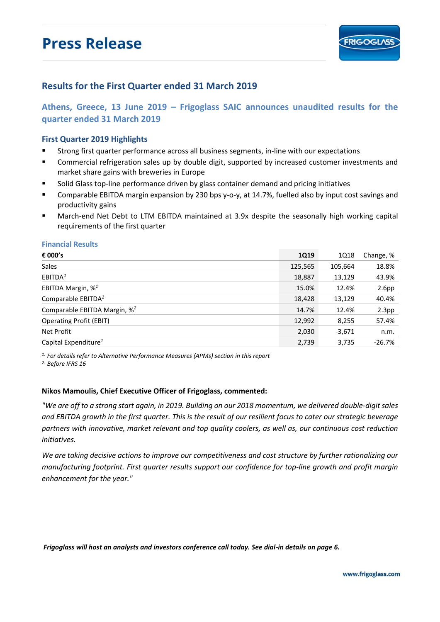# **Press Release**

### **Results for the First Quarter ended 31 March 2019**

**Athens, Greece, 13 June 2019 – Frigoglass SAIC announces unaudited results for the quarter ended 31 March 2019**

### **First Quarter 2019 Highlights**

- Strong first quarter performance across all business segments, in-line with our expectations
- Commercial refrigeration sales up by double digit, supported by increased customer investments and market share gains with breweries in Europe
- Solid Glass top-line performance driven by glass container demand and pricing initiatives
- Comparable EBITDA margin expansion by 230 bps y-o-y, at 14.7%, fuelled also by input cost savings and productivity gains
- March-end Net Debt to LTM EBITDA maintained at 3.9x despite the seasonally high working capital requirements of the first quarter

#### **Financial Results**

| € 000's                                  | 1Q19    | 1Q18     | Change, %         |
|------------------------------------------|---------|----------|-------------------|
| Sales                                    | 125,565 | 105,664  | 18.8%             |
| EBITDA <sup>1</sup>                      | 18,887  | 13,129   | 43.9%             |
| EBITDA Margin, % <sup>1</sup>            | 15.0%   | 12.4%    | 2.6 <sub>pp</sub> |
| Comparable EBITDA <sup>2</sup>           | 18,428  | 13,129   | 40.4%             |
| Comparable EBITDA Margin, % <sup>2</sup> | 14.7%   | 12.4%    | 2.3 <sub>pp</sub> |
| <b>Operating Profit (EBIT)</b>           | 12,992  | 8,255    | 57.4%             |
| Net Profit                               | 2,030   | $-3,671$ | n.m.              |
| Capital Expenditure <sup>1</sup>         | 2,739   | 3,735    | $-26.7%$          |

*1. For details refer to Alternative Performance Measures (APMs) section in this report*

*2. Before IFRS 16* 

#### **Nikos Mamoulis, Chief Executive Officer of Frigoglass, commented:**

*"We are off to a strong start again, in 2019. Building on our 2018 momentum, we delivered double-digit sales and EBITDA growth in the first quarter. This is the result of our resilient focus to cater our strategic beverage partners with innovative, market relevant and top quality coolers, as well as, our continuous cost reduction initiatives.* 

*We are taking decisive actions to improve our competitiveness and cost structure by further rationalizing our manufacturing footprint. First quarter results support our confidence for top-line growth and profit margin enhancement for the year."*

*Frigoglass will host an analysts and investors conference call today. See dial-in details on page 6.*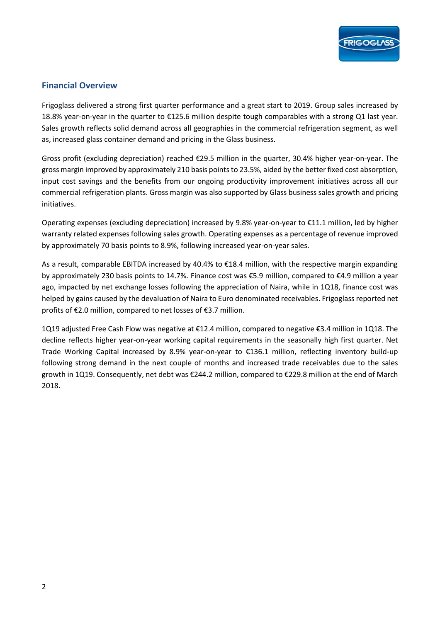

### **Financial Overview**

Frigoglass delivered a strong first quarter performance and a great start to 2019. Group sales increased by 18.8% year-on-year in the quarter to €125.6 million despite tough comparables with a strong Q1 last year. Sales growth reflects solid demand across all geographies in the commercial refrigeration segment, as well as, increased glass container demand and pricing in the Glass business.

Gross profit (excluding depreciation) reached €29.5 million in the quarter, 30.4% higher year-on-year. The gross margin improved by approximately 210 basis points to 23.5%, aided by the better fixed cost absorption, input cost savings and the benefits from our ongoing productivity improvement initiatives across all our commercial refrigeration plants. Gross margin was also supported by Glass business sales growth and pricing initiatives.

Operating expenses (excluding depreciation) increased by 9.8% year-on-year to €11.1 million, led by higher warranty related expenses following sales growth. Operating expenses as a percentage of revenue improved by approximately 70 basis points to 8.9%, following increased year-on-year sales.

As a result, comparable EBITDA increased by 40.4% to €18.4 million, with the respective margin expanding by approximately 230 basis points to 14.7%. Finance cost was €5.9 million, compared to €4.9 million a year ago, impacted by net exchange losses following the appreciation of Naira, while in 1Q18, finance cost was helped by gains caused by the devaluation of Naira to Euro denominated receivables. Frigoglass reported net profits of €2.0 million, compared to net losses of €3.7 million.

1Q19 adjusted Free Cash Flow was negative at €12.4 million, compared to negative €3.4 million in 1Q18. The decline reflects higher year-on-year working capital requirements in the seasonally high first quarter. Net Trade Working Capital increased by 8.9% year-on-year to €136.1 million, reflecting inventory build-up following strong demand in the next couple of months and increased trade receivables due to the sales growth in 1Q19. Consequently, net debt was €244.2 million, compared to €229.8 million at the end of March 2018.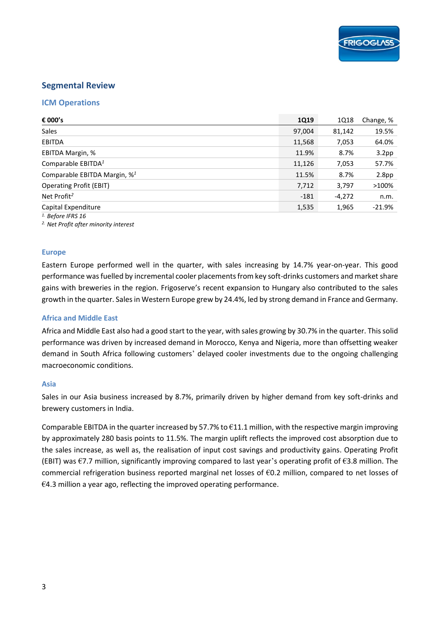### **Segmental Review**

### **ICM Operations**

| € 000's                                  | <b>1Q19</b> | 1Q18   | Change, %         |
|------------------------------------------|-------------|--------|-------------------|
| Sales                                    | 97,004      | 81,142 | 19.5%             |
| <b>EBITDA</b>                            | 11,568      | 7,053  | 64.0%             |
| EBITDA Margin, %                         | 11.9%       | 8.7%   | 3.2 <sub>pp</sub> |
| Comparable EBITDA <sup>1</sup>           | 11,126      | 7,053  | 57.7%             |
| Comparable EBITDA Margin, % <sup>1</sup> | 11.5%       | 8.7%   | 2.8 <sub>pp</sub> |
| <b>Operating Profit (EBIT)</b>           | 7,712       | 3,797  | >100%             |
| Net Profit <sup>2</sup>                  | $-181$      | -4,272 | n.m.              |
| Capital Expenditure                      | 1,535       | 1,965  | $-21.9%$          |
| $1.$ Before IFRS 16                      |             |        |                   |

*2. Net Profit after minority interest* 

#### **Europe**

Eastern Europe performed well in the quarter, with sales increasing by 14.7% year-on-year. This good performance was fuelled by incremental cooler placements from key soft-drinks customers and market share gains with breweries in the region. Frigoserve's recent expansion to Hungary also contributed to the sales growth in the quarter. Sales in Western Europe grew by 24.4%, led by strong demand in France and Germany.

#### **Africa and Middle East**

Africa and Middle East also had a good start to the year, with sales growing by 30.7% in the quarter. This solid performance was driven by increased demand in Morocco, Kenya and Nigeria, more than offsetting weaker demand in South Africa following customers' delayed cooler investments due to the ongoing challenging macroeconomic conditions.

#### **Asia**

Sales in our Asia business increased by 8.7%, primarily driven by higher demand from key soft-drinks and brewery customers in India.

Comparable EBITDA in the quarter increased by 57.7% to  $\epsilon$ 11.1 million, with the respective margin improving by approximately 280 basis points to 11.5%. The margin uplift reflects the improved cost absorption due to the sales increase, as well as, the realisation of input cost savings and productivity gains. Operating Profit (EBIT) was  $\epsilon$ 7.7 million, significantly improving compared to last year's operating profit of  $\epsilon$ 3.8 million. The commercial refrigeration business reported marginal net losses of  $\epsilon$ 0.2 million, compared to net losses of  $€4.3$  million a year ago, reflecting the improved operating performance.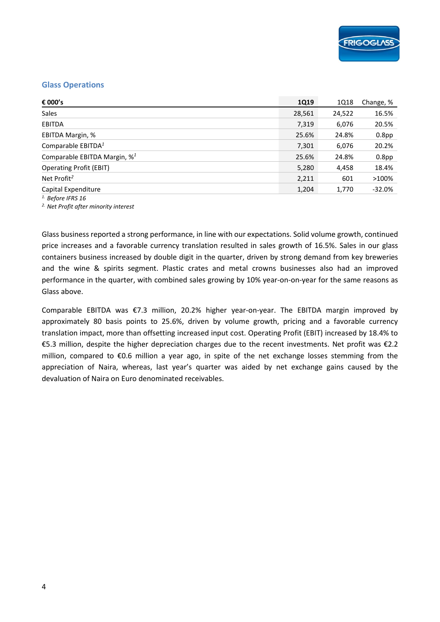### **Glass Operations**

| € 000's                                 | 1Q19   | 1Q18   | Change, %         |
|-----------------------------------------|--------|--------|-------------------|
| Sales                                   | 28,561 | 24,522 | 16.5%             |
| <b>EBITDA</b>                           | 7,319  | 6,076  | 20.5%             |
| EBITDA Margin, %                        | 25.6%  | 24.8%  | 0.8 <sub>pp</sub> |
| Comparable EBITDA <sup>1</sup>          | 7,301  | 6,076  | 20.2%             |
| Comparable EBITDA Margin, $\frac{1}{2}$ | 25.6%  | 24.8%  | 0.8 <sub>pp</sub> |
| <b>Operating Profit (EBIT)</b>          | 5,280  | 4,458  | 18.4%             |
| Net Profit <sup>2</sup>                 | 2,211  | 601    | >100%             |
| Capital Expenditure                     | 1,204  | 1,770  | $-32.0%$          |
|                                         |        |        |                   |

*1. Before IFRS 16 2. Net Profit after minority interest* 

Glass business reported a strong performance, in line with our expectations. Solid volume growth, continued price increases and a favorable currency translation resulted in sales growth of 16.5%. Sales in our glass containers business increased by double digit in the quarter, driven by strong demand from key breweries and the wine & spirits segment. Plastic crates and metal crowns businesses also had an improved performance in the quarter, with combined sales growing by 10% year-on-on-year for the same reasons as Glass above.

Comparable EBITDA was €7.3 million, 20.2% higher year-on-year. The EBITDA margin improved by approximately 80 basis points to 25.6%, driven by volume growth, pricing and a favorable currency translation impact, more than offsetting increased input cost. Operating Profit (EBIT) increased by 18.4% to €5.3 million, despite the higher depreciation charges due to the recent investments. Net profit was €2.2 million, compared to €0.6 million a year ago, in spite of the net exchange losses stemming from the appreciation of Naira, whereas, last year's quarter was aided by net exchange gains caused by the devaluation of Naira on Euro denominated receivables.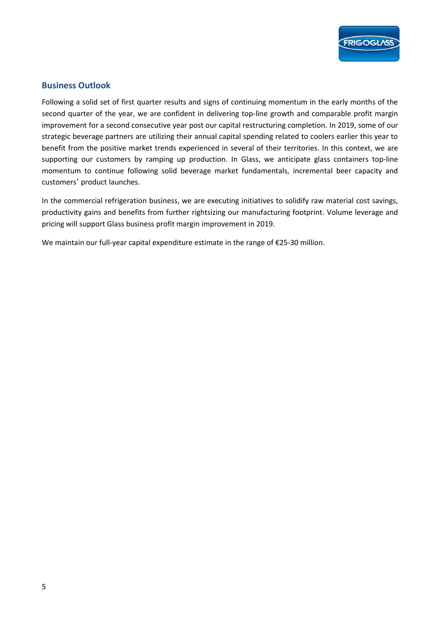

### **Business Outlook**

Following a solid set of first quarter results and signs of continuing momentum in the early months of the second quarter of the year, we are confident in delivering top-line growth and comparable profit margin improvement for a second consecutive year post our capital restructuring completion. In 2019, some of our strategic beverage partners are utilizing their annual capital spending related to coolers earlier this year to benefit from the positive market trends experienced in several of their territories. In this context, we are supporting our customers by ramping up production. In Glass, we anticipate glass containers top-line momentum to continue following solid beverage market fundamentals, incremental beer capacity and customers' product launches.

In the commercial refrigeration business, we are executing initiatives to solidify raw material cost savings, productivity gains and benefits from further rightsizing our manufacturing footprint. Volume leverage and pricing will support Glass business profit margin improvement in 2019.

We maintain our full-year capital expenditure estimate in the range of €25-30 million.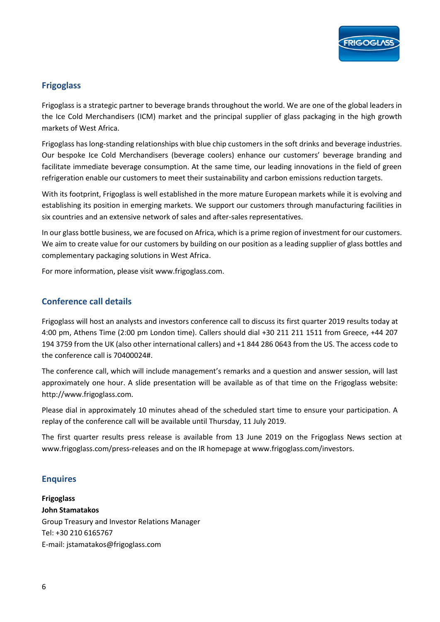

### **Frigoglass**

Frigoglass is a strategic partner to beverage brands throughout the world. We are one of the global leaders in the Ice Cold Merchandisers (ICM) market and the principal supplier of glass packaging in the high growth markets of West Africa.

Frigoglass has long-standing relationships with blue chip customers in the soft drinks and beverage industries. Our bespoke Ice Cold Merchandisers (beverage coolers) enhance our customers' beverage branding and facilitate immediate beverage consumption. At the same time, our leading innovations in the field of green refrigeration enable our customers to meet their sustainability and carbon emissions reduction targets.

With its footprint, Frigoglass is well established in the more mature European markets while it is evolving and establishing its position in emerging markets. We support our customers through manufacturing facilities in six countries and an extensive network of sales and after-sales representatives.

In our glass bottle business, we are focused on Africa, which is a prime region of investment for our customers. We aim to create value for our customers by building on our position as a leading supplier of glass bottles and complementary packaging solutions in West Africa.

For more information, please visit www.frigoglass.com.

### **Conference call details**

Frigoglass will host an analysts and investors conference call to discuss its first quarter 2019 results today at 4:00 pm, Athens Time (2:00 pm London time). Callers should dial +30 211 211 1511 from Greece, +44 207 194 3759 from the UK (also other international callers) and +1 844 286 0643 from the US. The access code to the conference call is 70400024#.

The conference call, which will include management's remarks and a question and answer session, will last approximately one hour. A slide presentation will be available as of that time on the Frigoglass website: http://www.frigoglass.com.

Please dial in approximately 10 minutes ahead of the scheduled start time to ensure your participation. A replay of the conference call will be available until Thursday, 11 July 2019.

The first quarter results press release is available from 13 June 2019 on the Frigoglass News section at www.frigoglass.com/press-releases and on the IR homepage at www.frigoglass.com/investors.

### **Enquires**

**Frigoglass John Stamatakos**  Group Treasury and Investor Relations Manager Tel: +30 210 6165767 E-mail: jstamatakos@frigoglass.com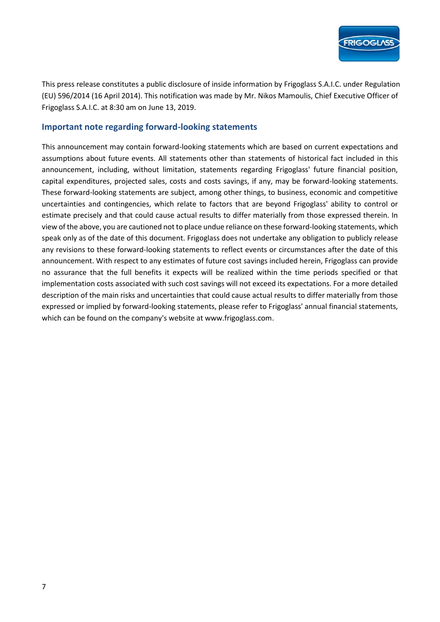

This press release constitutes a public disclosure of inside information by Frigoglass S.A.I.C. under Regulation (EU) 596/2014 (16 April 2014). This notification was made by Mr. Nikos Mamoulis, Chief Executive Officer of Frigoglass S.A.I.C. at 8:30 am on June 13, 2019.

### **Important note regarding forward-looking statements**

This announcement may contain forward-looking statements which are based on current expectations and assumptions about future events. All statements other than statements of historical fact included in this announcement, including, without limitation, statements regarding Frigoglass' future financial position, capital expenditures, projected sales, costs and costs savings, if any, may be forward-looking statements. These forward-looking statements are subject, among other things, to business, economic and competitive uncertainties and contingencies, which relate to factors that are beyond Frigoglass' ability to control or estimate precisely and that could cause actual results to differ materially from those expressed therein. In view of the above, you are cautioned not to place undue reliance on these forward-looking statements, which speak only as of the date of this document. Frigoglass does not undertake any obligation to publicly release any revisions to these forward-looking statements to reflect events or circumstances after the date of this announcement. With respect to any estimates of future cost savings included herein, Frigoglass can provide no assurance that the full benefits it expects will be realized within the time periods specified or that implementation costs associated with such cost savings will not exceed its expectations. For a more detailed description of the main risks and uncertainties that could cause actual results to differ materially from those expressed or implied by forward-looking statements, please refer to Frigoglass' annual financial statements, which can be found on the company's website at www.frigoglass.com.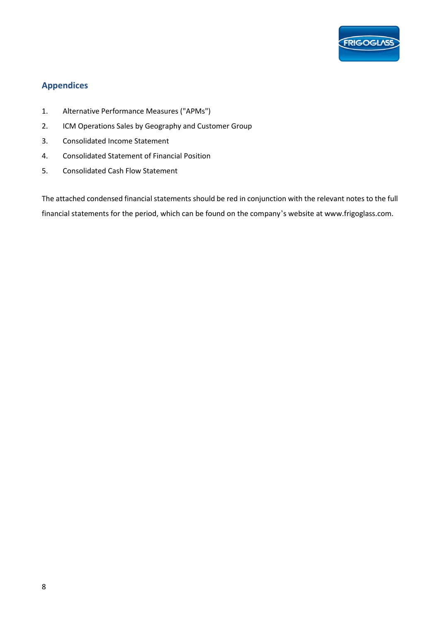

## **Appendices**

- 1. Alternative Performance Measures ("APMs")
- 2. ICM Operations Sales by Geography and Customer Group
- 3. Consolidated Income Statement
- 4. Consolidated Statement of Financial Position
- 5. Consolidated Cash Flow Statement

The attached condensed financial statements should be red in conjunction with the relevant notes to the full financial statements for the period, which can be found on the company's website at www.frigoglass.com.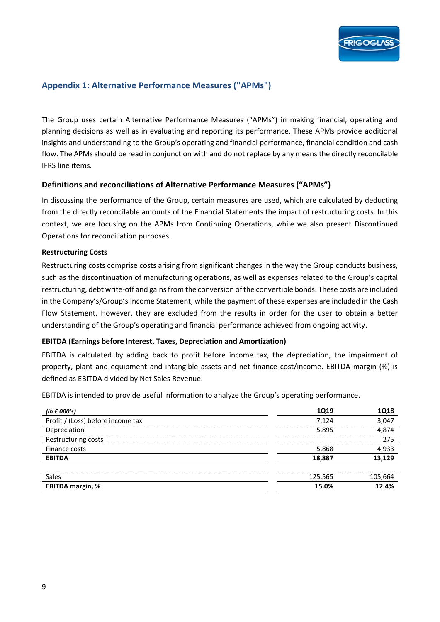### **Appendix 1: Alternative Performance Measures ("APMs")**

The Group uses certain Alternative Performance Measures ("APMs") in making financial, operating and planning decisions as well as in evaluating and reporting its performance. These APMs provide additional insights and understanding to the Group's operating and financial performance, financial condition and cash flow. The APMs should be read in conjunction with and do not replace by any means the directly reconcilable IFRS line items.

### **Definitions and reconciliations of Alternative Performance Measures ("APMs")**

In discussing the performance of the Group, certain measures are used, which are calculated by deducting from the directly reconcilable amounts of the Financial Statements the impact of restructuring costs. In this context, we are focusing on the APMs from Continuing Operations, while we also present Discontinued Operations for reconciliation purposes.

### **Restructuring Costs**

Restructuring costs comprise costs arising from significant changes in the way the Group conducts business, such as the discontinuation of manufacturing operations, as well as expenses related to the Group's capital restructuring, debt write-off and gains from the conversion of the convertible bonds. These costs are included in the Company's/Group's Income Statement, while the payment of these expenses are included in the Cash Flow Statement. However, they are excluded from the results in order for the user to obtain a better understanding of the Group's operating and financial performance achieved from ongoing activity.

### **EBITDA (Earnings before Interest, Taxes, Depreciation and Amortization)**

EBITDA is calculated by adding back to profit before income tax, the depreciation, the impairment of property, plant and equipment and intangible assets and net finance cost/income. EBITDA margin (%) is defined as EBITDA divided by Net Sales Revenue.

EBITDA is intended to provide useful information to analyze the Group's operating performance.

| (in € 000's)                      | 1Q19    | 1Q18    |
|-----------------------------------|---------|---------|
| Profit / (Loss) before income tax | 7.124   | 3,047   |
| Depreciation                      | 5,895   | 4,874   |
| Restructuring costs               |         | 275     |
| Finance costs                     | 5,868   | 4,933   |
| <b>EBITDA</b>                     | 18,887  | 13,129  |
| <b>Sales</b>                      | 125,565 | 105,664 |
| <b>EBITDA margin, %</b>           | 15.0%   | 12.4%   |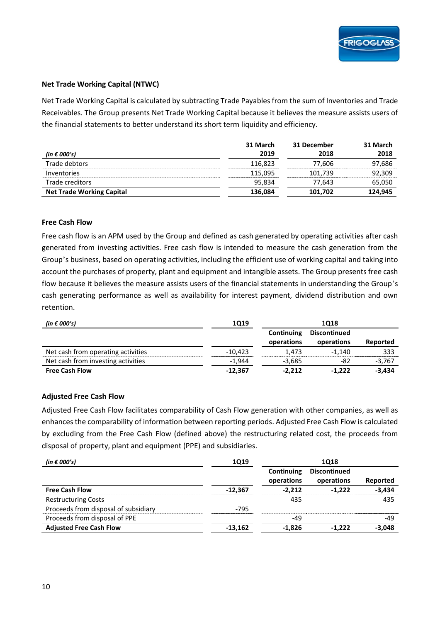### **Net Trade Working Capital (NTWC)**

Net Trade Working Capital is calculated by subtracting Trade Payables from the sum of Inventories and Trade Receivables. The Group presents Net Trade Working Capital because it believes the measure assists users of the financial statements to better understand its short term liquidity and efficiency.

|                                  | 31 March | 31 December | 31 March |
|----------------------------------|----------|-------------|----------|
| (in $\epsilon$ 000's)            | 2019     | 2018        | 2018     |
| Trade debtors                    | 116.823  | 77.606      | 97,686   |
| <i>Inventories</i>               | 115,095  | 101,739     | 92,309   |
| Trade creditors                  | 95.834   | 77.643      | 65,050   |
| <b>Net Trade Working Capital</b> | 136,084  | 101.702     | 124,945  |

#### **Free Cash Flow**

Free cash flow is an APM used by the Group and defined as cash generated by operating activities after cash generated from investing activities. Free cash flow is intended to measure the cash generation from the Group's business, based on operating activities, including the efficient use of working capital and taking into account the purchases of property, plant and equipment and intangible assets. The Group presents free cash flow because it believes the measure assists users of the financial statements in understanding the Group's cash generating performance as well as availability for interest payment, dividend distribution and own retention.

| (in $\epsilon$ 000's)              | <b>1Q19</b> | 1018                     |                                   |          |
|------------------------------------|-------------|--------------------------|-----------------------------------|----------|
|                                    |             | Continuing<br>operations | <b>Discontinued</b><br>operations | Reported |
| Net cash from operating activities | $-10.423$   | 1.473                    | $-1.140$                          | 333      |
| Net cash from investing activities | $-1.944$    | $-3.685$                 | -82                               | $-3,767$ |
| <b>Free Cash Flow</b>              | $-12.367$   | $-2,212$                 | $-1.222$                          | $-3.434$ |

#### **Adjusted Free Cash Flow**

Adjusted Free Cash Flow facilitates comparability of Cash Flow generation with other companies, as well as enhances the comparability of information between reporting periods. Adjusted Free Cash Flow is calculated by excluding from the Free Cash Flow (defined above) the restructuring related cost, the proceeds from disposal of property, plant and equipment (PPE) and subsidiaries.

| (in $\epsilon$ 000's)                | <b>1Q19</b> |                          | <b>1Q18</b>                       |          |
|--------------------------------------|-------------|--------------------------|-----------------------------------|----------|
|                                      |             | Continuing<br>operations | <b>Discontinued</b><br>operations | Reported |
| <b>Free Cash Flow</b>                | $-12.367$   | $-2,212$                 | $-1.222$                          | $-3,434$ |
| <b>Restructuring Costs</b>           |             | 435                      |                                   | 435      |
| Proceeds from disposal of subsidiary | $-795$      |                          |                                   |          |
| Proceeds from disposal of PPE        |             | $-49$                    |                                   | $-49$    |
| <b>Adjusted Free Cash Flow</b>       | $-13,162$   | $-1,826$                 | $-1.222$                          | $-3,048$ |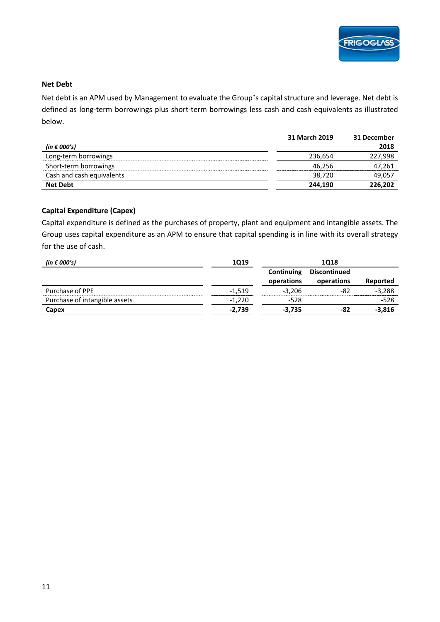

### **Net Debt**

Net debt is an APM used by Management to evaluate the Group's capital structure and leverage. Net debt is defined as long-term borrowings plus short-term borrowings less cash and cash equivalents as illustrated below.

|                           | 31 March 2019 | 31 December |
|---------------------------|---------------|-------------|
| (in $\epsilon$ 000's)     |               | 2018        |
| Long-term borrowings      | 236.654       | 227,998     |
| Short-term borrowings     | 46.256        | 47,261      |
| Cash and cash equivalents | 38.720        | 49,057      |
| <b>Net Debt</b>           | 244.190       | 226,202     |

### **Capital Expenditure (Capex)**

Capital expenditure is defined as the purchases of property, plant and equipment and intangible assets. The Group uses capital expenditure as an APM to ensure that capital spending is in line with its overall strategy for the use of cash.

| (in € 000's)                  | <b>1Q19</b> |                          | 1018                              |          |
|-------------------------------|-------------|--------------------------|-----------------------------------|----------|
|                               |             | Continuing<br>operations | <b>Discontinued</b><br>operations | Reported |
| Purchase of PPE               | $-1,519$    | $-3.206$                 | -82                               | $-3,288$ |
| Purchase of intangible assets | $-1,220$    | $-528$                   |                                   | $-528$   |
| Capex                         | $-2,739$    | $-3.735$                 | -82                               | $-3,816$ |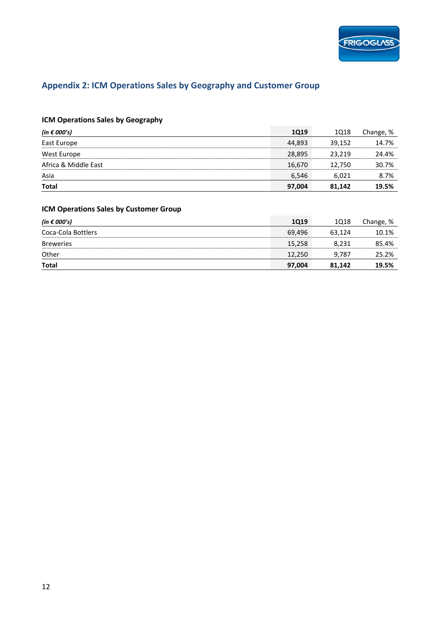

# **Appendix 2: ICM Operations Sales by Geography and Customer Group**

### **ICM Operations Sales by Geography**

| (in $\epsilon$ 000's) | <b>1Q19</b> | 1Q18   | Change, % |
|-----------------------|-------------|--------|-----------|
| East Europe           | 44.893      | 39.152 | 14.7%     |
| West Europe           | 28,895      | 23,219 | 24.4%     |
| Africa & Middle East  | 16,670      | 12,750 | 30.7%     |
| Asia                  | 6,546       | 6,021  | 8.7%      |
| <b>Total</b>          | 97,004      | 81.142 | 19.5%     |

### **ICM Operations Sales by Customer Group**

| (in $\epsilon$ 000's) | <b>1Q19</b> | 1Q18   | Change, % |
|-----------------------|-------------|--------|-----------|
| Coca-Cola Bottlers    | 69.496      | 63.124 | 10.1%     |
| <b>Breweries</b>      | 15,258      | 8,231  | 85.4%     |
| Other                 | 12.250      | 9,787  | 25.2%     |
| <b>Total</b>          | 97,004      | 81.142 | 19.5%     |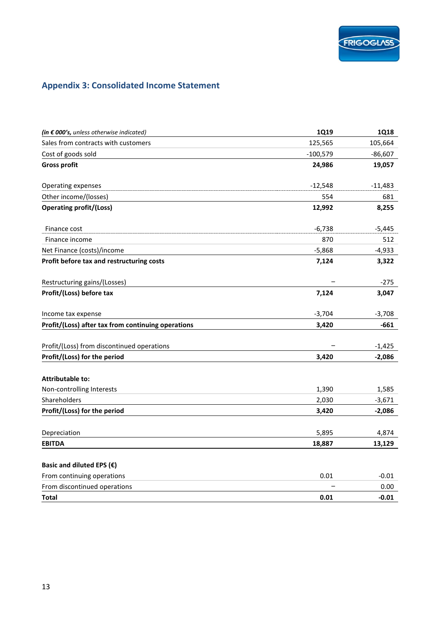# **Appendix 3: Consolidated Income Statement**

| (in $\epsilon$ 000's, unless otherwise indicated)  | <b>1Q19</b> | <b>1Q18</b> |
|----------------------------------------------------|-------------|-------------|
| Sales from contracts with customers                | 125,565     | 105,664     |
| Cost of goods sold                                 | $-100,579$  | $-86,607$   |
| <b>Gross profit</b>                                | 24,986      | 19,057      |
| Operating expenses                                 | $-12,548$   | $-11,483$   |
| Other income/(losses)                              | 554         | 681         |
| <b>Operating profit/(Loss)</b>                     | 12,992      | 8,255       |
| Finance cost                                       | $-6,738$    | $-5,445$    |
| Finance income                                     | 870         | 512         |
| Net Finance (costs)/income                         | $-5,868$    | $-4,933$    |
| Profit before tax and restructuring costs          | 7,124       | 3,322       |
| Restructuring gains/(Losses)                       |             | $-275$      |
| Profit/(Loss) before tax                           | 7,124       | 3,047       |
| Income tax expense                                 | $-3,704$    | $-3,708$    |
| Profit/(Loss) after tax from continuing operations | 3,420       | -661        |
|                                                    |             |             |
| Profit/(Loss) from discontinued operations         |             | $-1,425$    |
| Profit/(Loss) for the period                       | 3,420       | $-2,086$    |
| <b>Attributable to:</b>                            |             |             |
| Non-controlling Interests                          | 1,390       | 1,585       |
| Shareholders                                       | 2,030       | $-3,671$    |
| Profit/(Loss) for the period                       | 3,420       | $-2,086$    |
| Depreciation                                       | 5,895       | 4,874       |
| <b>EBITDA</b>                                      | 18,887      | 13,129      |
|                                                    |             |             |
| Basic and diluted EPS $(\epsilon)$                 |             |             |
| From continuing operations                         | 0.01        | $-0.01$     |
| From discontinued operations                       |             | 0.00        |
| Total                                              | 0.01        | $-0.01$     |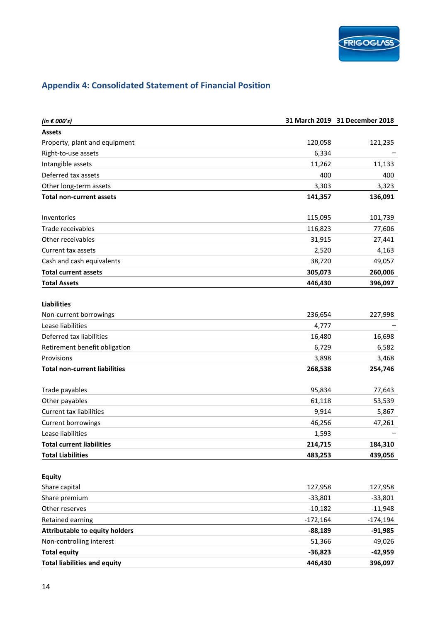# **Appendix 4: Consolidated Statement of Financial Position**

| (in $\epsilon$ 000's)                 |            | 31 March 2019 31 December 2018 |
|---------------------------------------|------------|--------------------------------|
| <b>Assets</b>                         |            |                                |
| Property, plant and equipment         | 120,058    | 121,235                        |
| Right-to-use assets                   | 6,334      |                                |
| Intangible assets                     | 11,262     | 11,133                         |
| Deferred tax assets                   | 400        | 400                            |
| Other long-term assets                | 3,303      | 3,323                          |
| <b>Total non-current assets</b>       | 141,357    | 136,091                        |
| Inventories                           | 115,095    | 101,739                        |
| Trade receivables                     | 116,823    | 77,606                         |
| Other receivables                     | 31,915     | 27,441                         |
| Current tax assets                    | 2,520      | 4,163                          |
| Cash and cash equivalents             | 38,720     | 49,057                         |
| <b>Total current assets</b>           | 305,073    | 260,006                        |
| <b>Total Assets</b>                   | 446,430    | 396,097                        |
| <b>Liabilities</b>                    |            |                                |
| Non-current borrowings                | 236,654    | 227,998                        |
| Lease liabilities                     | 4,777      |                                |
| Deferred tax liabilities              | 16,480     | 16,698                         |
| Retirement benefit obligation         | 6,729      | 6,582                          |
| Provisions                            | 3,898      | 3,468                          |
| <b>Total non-current liabilities</b>  | 268,538    | 254,746                        |
| Trade payables                        | 95,834     | 77,643                         |
| Other payables                        | 61,118     | 53,539                         |
| <b>Current tax liabilities</b>        | 9,914      | 5,867                          |
| Current borrowings                    | 46,256     | 47,261                         |
| Lease liabilities                     | 1,593      |                                |
| <b>Total current liabilities</b>      | 214,715    | 184,310                        |
| <b>Total Liabilities</b>              | 483,253    | 439,056                        |
| <b>Equity</b>                         |            |                                |
| Share capital                         | 127,958    | 127,958                        |
| Share premium                         | $-33,801$  | $-33,801$                      |
| Other reserves                        | $-10,182$  | $-11,948$                      |
| Retained earning                      | $-172,164$ | $-174,194$                     |
| <b>Attributable to equity holders</b> | $-88,189$  | $-91,985$                      |
| Non-controlling interest              | 51,366     | 49,026                         |
| <b>Total equity</b>                   | $-36,823$  | $-42,959$                      |
| <b>Total liabilities and equity</b>   | 446,430    | 396,097                        |